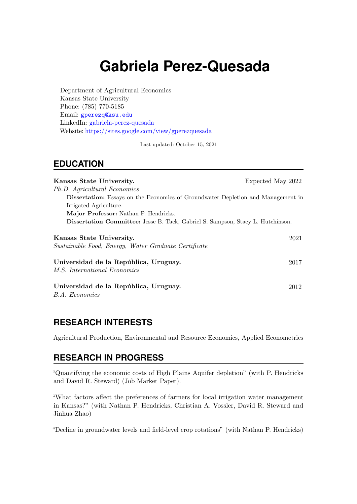# **Gabriela Perez-Quesada**

Department of Agricultural Economics Kansas State University Phone: (785) 770-5185 Email: <gperezq@ksu.edu> LinkedIn: [gabriela-perez-quesada](https://www.linkedin.com/in/gabriela-perez-quesada/) Website: <https://sites.google.com/view/gperezquesada>

Last updated: October 15, 2021

#### **EDUCATION**

| Kansas State University.                                                                | Expected May 2022 |
|-----------------------------------------------------------------------------------------|-------------------|
| Ph.D. Agricultural Economics                                                            |                   |
| <b>Dissertation:</b> Essays on the Economics of Groundwater Depletion and Management in |                   |
| Irrigated Agriculture.                                                                  |                   |
| Major Professor: Nathan P. Hendricks.                                                   |                   |
| Dissertation Committee: Jesse B. Tack, Gabriel S. Sampson, Stacy L. Hutchinson.         |                   |
| Kansas State University.<br>Sustainable Food, Energy, Water Graduate Certificate        | 2021              |
| Universidad de la República, Uruguay.<br><i>M.S. International Economics</i>            | 2017              |
| Universidad de la República, Uruguay.<br>B.A. Economics                                 | 2012              |

## **RESEARCH INTERESTS**

Agricultural Production, Environmental and Resource Economics, Applied Econometrics

### **RESEARCH IN PROGRESS**

"Quantifying the economic costs of High Plains Aquifer depletion" (with P. Hendricks and David R. Steward) (Job Market Paper).

"What factors affect the preferences of farmers for local irrigation water management in Kansas?" (with Nathan P. Hendricks, Christian A. Vossler, David R. Steward and Jinhua Zhao)

"Decline in groundwater levels and field-level crop rotations" (with Nathan P. Hendricks)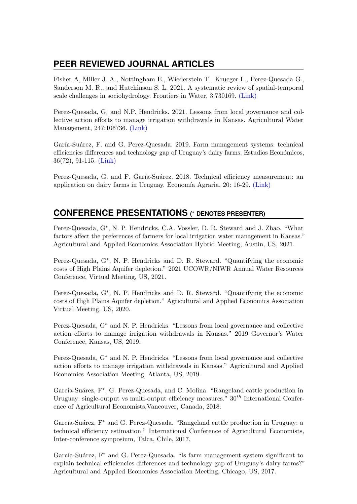# **PEER REVIEWED JOURNAL ARTICLES**

Fisher A, Miller J. A., Nottingham E., Wiederstein T., Krueger L., Perez-Quesada G., Sanderson M. R., and Hutchinson S. L. 2021. A systematic review of spatial-temporal scale challenges in sociohydrology. Frontiers in Water, 3:730169. [\(Link\)](http://journal.frontiersin.org/article/10.3389/frwa.2021.730169/full?&utm_source=Email_to_authors_&utm_medium=Email&utm_content=T1_11.5e1_author&utm_campaign=Email_publication&field=&journalName=Frontiers_in_Water&id=730169)

Perez-Quesada, G. and N.P. Hendricks. 2021. Lessons from local governance and collective action efforts to manage irrigation withdrawals in Kansas. Agricultural Water Management, 247:106736. [\(Link\)](https://www.sciencedirect.com/science/article/pii/S0378377421000019)

Garía-Suárez, F. and G. Perez-Quesada. 2019. Farm management systems: technical efficiencies differences and technology gap of Uruguay's dairy farms. Estudios Económicos, 36(72), 91-115. [\(Link\)](https://dialnet.unirioja.es/servlet/articulo?codigo=7389445)

Perez-Quesada, G. and F. Garía-Suárez. 2018. Technical efficiency measurement: an application on dairy farms in Uruguay. Economía Agraria, 20: 16-29. [\(Link\)](http://www.aeachile.cl/volumenes/)

# **CONFERENCE PRESENTATIONS (** <sup>∗</sup> **DENOTES PRESENTER)**

Perez-Quesada, G<sup>\*</sup>, N. P. Hendricks, C.A. Vossler, D. R. Steward and J. Zhao. "What factors affect the preferences of farmers for local irrigation water management in Kansas." Agricultural and Applied Economics Association Hybrid Meeting, Austin, US, 2021.

Perez-Quesada, G<sup>∗</sup> , N. P. Hendricks and D. R. Steward. "Quantifying the economic costs of High Plains Aquifer depletion." 2021 UCOWR/NIWR Annual Water Resources Conference, Virtual Meeting, US, 2021.

Perez-Quesada, G<sup>∗</sup> , N. P. Hendricks and D. R. Steward. "Quantifying the economic costs of High Plains Aquifer depletion." Agricultural and Applied Economics Association Virtual Meeting, US, 2020.

Perez-Quesada, G<sup>∗</sup> and N. P. Hendricks. "Lessons from local governance and collective action efforts to manage irrigation withdrawals in Kansas." 2019 Governor's Water Conference, Kansas, US, 2019.

Perez-Quesada, G<sup>∗</sup> and N. P. Hendricks. "Lessons from local governance and collective action efforts to manage irrigation withdrawals in Kansas." Agricultural and Applied Economics Association Meeting, Atlanta, US, 2019.

García-Suárez, F<sup>\*</sup>, G. Perez-Quesada, and C. Molina. "Rangeland cattle production in Uruguay: single-output vs multi-output efficiency measures."  $30<sup>th</sup>$  International Conference of Agricultural Economists,Vancouver, Canada, 2018.

García-Suárez, F<sup>\*</sup> and G. Perez-Quesada. "Rangeland cattle production in Uruguay: a technical efficiency estimation." International Conference of Agricultural Economists, Inter-conference symposium, Talca, Chile, 2017.

García-Suárez, F<sup>\*</sup> and G. Perez-Quesada. "Is farm management system significant to explain technical efficiencies differences and technology gap of Uruguay's dairy farms?" Agricultural and Applied Economics Association Meeting, Chicago, US, 2017.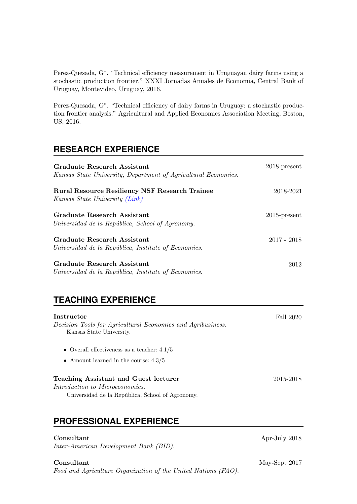Perez-Quesada, G<sup>∗</sup> . "Technical efficiency measurement in Uruguayan dairy farms using a stochastic production frontier." XXXI Jornadas Anuales de Economia, Central Bank of Uruguay, Montevideo, Uruguay, 2016.

Perez-Quesada, G<sup>∗</sup> . "Technical efficiency of dairy farms in Uruguay: a stochastic production frontier analysis." Agricultural and Applied Economics Association Meeting, Boston, US, 2016.

### **RESEARCH EXPERIENCE**

| Graduate Research Assistant<br>Kansas State University, Department of Agricultural Economics. | $2018$ -present |
|-----------------------------------------------------------------------------------------------|-----------------|
| <b>Rural Resource Resiliency NSF Research Trainee</b><br>Kansas State University (Link)       | 2018-2021       |
| Graduate Research Assistant<br>Universidad de la República, School of Agronomy.               | $2015$ -present |
| Graduate Research Assistant<br>Universidad de la República, Institute of Economics.           | $2017 - 2018$   |
| Graduate Research Assistant<br>Universidad de la República, Institute of Economics.           | 2012            |

# **TEACHING EXPERIENCE**

| Instructor                                                  | Fall 2020 |
|-------------------------------------------------------------|-----------|
| Decision Tools for Agricultural Economics and Agribusiness. |           |
| Kansas State University.                                    |           |
| • Overall effectiveness as a teacher: $4.1/5$               |           |
| • Amount learned in the course: $4.3/5$                     |           |
| Teaching Assistant and Guest lecturer                       | 2015-2018 |
| Introduction to Microeconomics.                             |           |
| Universidad de la República, School of Agronomy.            |           |
|                                                             |           |
|                                                             |           |
|                                                             |           |

## **PROFESSIONAL EXPERIENCE**

| Consultant                             | Apr-July 2018 |
|----------------------------------------|---------------|
| Inter-American Development Bank (BID). |               |

Food and Agriculture Organization of the United Nations (FAO).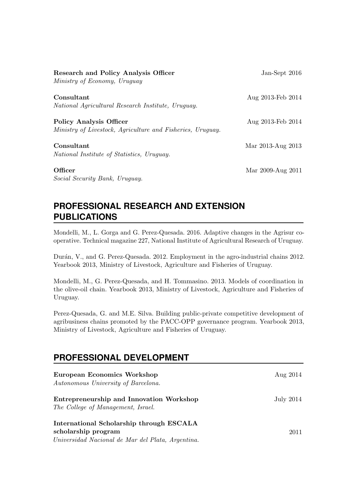| Research and Policy Analysis Officer<br>Ministry of Economy, Uruguay                         | Jan-Sept 2016     |
|----------------------------------------------------------------------------------------------|-------------------|
| Consultant<br>National Agricultural Research Institute, Uruguay.                             | Aug 2013-Feb 2014 |
| <b>Policy Analysis Officer</b><br>Ministry of Livestock, Agriculture and Fisheries, Uruguay. | Aug 2013-Feb 2014 |
| Consultant<br>National Institute of Statistics, Uruguay.                                     | Mar 2013-Aug 2013 |
| Officer<br>Social Security Bank, Uruguay.                                                    | Mar 2009-Aug 2011 |

# **PROFESSIONAL RESEARCH AND EXTENSION PUBLICATIONS**

Mondelli, M., L. Gorga and G. Perez-Quesada. 2016. Adaptive changes in the Agrisur cooperative. Technical magazine 227, National Institute of Agricultural Research of Uruguay.

Durán, V., and G. Perez-Quesada. 2012. Employment in the agro-industrial chains 2012. Yearbook 2013, Ministry of Livestock, Agriculture and Fisheries of Uruguay.

Mondelli, M., G. Perez-Quesada, and H. Tommasino. 2013. Models of coordination in the olive-oil chain. Yearbook 2013, Ministry of Livestock, Agriculture and Fisheries of Uruguay.

Perez-Quesada, G. and M.E. Silva. Building public-private competitive development of agribusiness chains promoted by the PACC-OPP governance program. Yearbook 2013, Ministry of Livestock, Agriculture and Fisheries of Uruguay.

#### **PROFESSIONAL DEVELOPMENT**

| <b>European Economics Workshop</b><br>Autonomous University of Barcelona.                                            | Aug 2014         |
|----------------------------------------------------------------------------------------------------------------------|------------------|
| Entrepreneurship and Innovation Workshop<br>The College of Management, Israel.                                       | <b>July 2014</b> |
| International Scholarship through ESCALA<br>scholarship program<br>Universidad Nacional de Mar del Plata, Argentina. | 2011             |